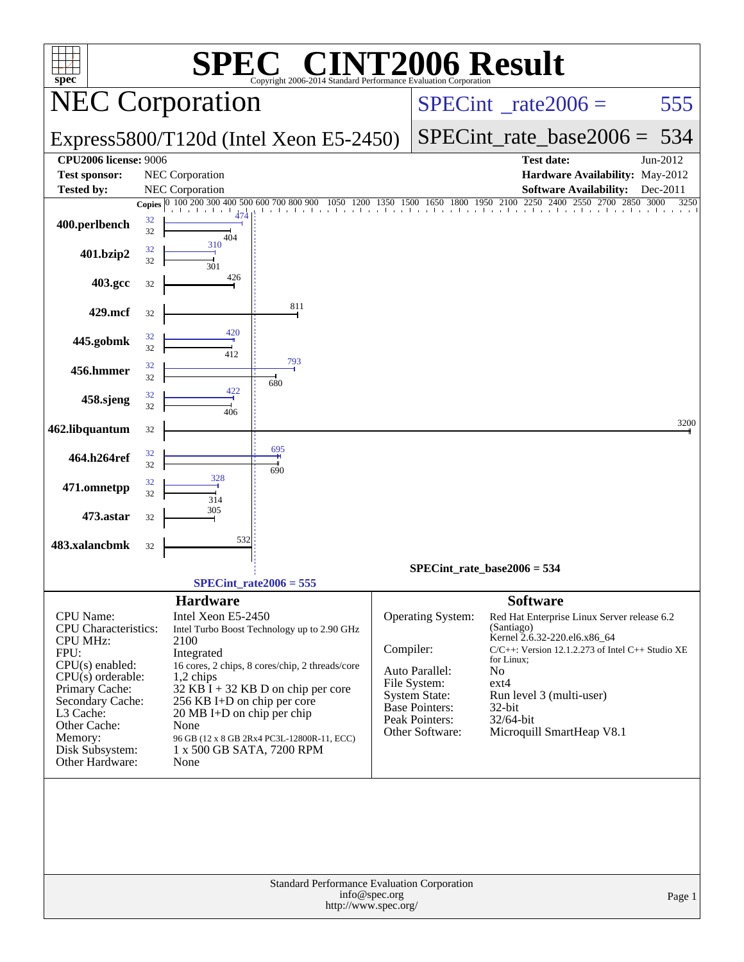| <b>72006 Result</b><br>$\bigcap_{\mathbf{A}}\mathbb{C}^{\mathbf{A}}$<br>$spec^*$<br>Copyright 2006-2014 Standard Performance Evaluation Corporation                                                                               |          |                                                                                                                                                                                    |                                                                                                                                                                                      |               |                                                                                                                                    |                                                                                                                                                                                                                                                                                  |          |  |  |  |
|-----------------------------------------------------------------------------------------------------------------------------------------------------------------------------------------------------------------------------------|----------|------------------------------------------------------------------------------------------------------------------------------------------------------------------------------------|--------------------------------------------------------------------------------------------------------------------------------------------------------------------------------------|---------------|------------------------------------------------------------------------------------------------------------------------------------|----------------------------------------------------------------------------------------------------------------------------------------------------------------------------------------------------------------------------------------------------------------------------------|----------|--|--|--|
|                                                                                                                                                                                                                                   |          | <b>NEC Corporation</b>                                                                                                                                                             |                                                                                                                                                                                      |               |                                                                                                                                    | $SPECint^{\circ}$ rate $2006 =$                                                                                                                                                                                                                                                  | 555      |  |  |  |
|                                                                                                                                                                                                                                   |          |                                                                                                                                                                                    | Express5800/T120d (Intel Xeon E5-2450)                                                                                                                                               |               |                                                                                                                                    | $SPECint_rate_base2006 =$                                                                                                                                                                                                                                                        | 534      |  |  |  |
| <b>CPU2006 license: 9006</b><br><b>Test sponsor:</b>                                                                                                                                                                              |          | NEC Corporation                                                                                                                                                                    |                                                                                                                                                                                      |               |                                                                                                                                    | <b>Test date:</b><br>Hardware Availability: May-2012                                                                                                                                                                                                                             | Jun-2012 |  |  |  |
| <b>Tested by:</b>                                                                                                                                                                                                                 |          | NEC Corporation                                                                                                                                                                    | 1200                                                                                                                                                                                 | 1350 1500     |                                                                                                                                    | <b>Software Availability:</b><br>1800 1950 2100<br>2250<br>2400<br>2550<br>2700 2850 3000                                                                                                                                                                                        | Dec-2011 |  |  |  |
| 400.perlbench                                                                                                                                                                                                                     | 32<br>32 | Copies 0 100 200 300 400 500 600 700 800 900<br>404<br>310                                                                                                                         |                                                                                                                                                                                      |               | 1650                                                                                                                               | The collection of a collection                                                                                                                                                                                                                                                   | 3250     |  |  |  |
| 401.bzip2                                                                                                                                                                                                                         | 32<br>32 | 301                                                                                                                                                                                |                                                                                                                                                                                      |               |                                                                                                                                    |                                                                                                                                                                                                                                                                                  |          |  |  |  |
| 403.gcc                                                                                                                                                                                                                           | 32       | 426                                                                                                                                                                                |                                                                                                                                                                                      |               |                                                                                                                                    |                                                                                                                                                                                                                                                                                  |          |  |  |  |
| 429.mcf                                                                                                                                                                                                                           | 32       |                                                                                                                                                                                    | 811                                                                                                                                                                                  |               |                                                                                                                                    |                                                                                                                                                                                                                                                                                  |          |  |  |  |
| 445.gobmk                                                                                                                                                                                                                         | 32<br>32 | 420<br>412                                                                                                                                                                         |                                                                                                                                                                                      |               |                                                                                                                                    |                                                                                                                                                                                                                                                                                  |          |  |  |  |
| 456.hmmer                                                                                                                                                                                                                         | 32<br>32 |                                                                                                                                                                                    | 793<br>680                                                                                                                                                                           |               |                                                                                                                                    |                                                                                                                                                                                                                                                                                  |          |  |  |  |
| 458.sjeng                                                                                                                                                                                                                         | 32<br>32 | 422<br>406                                                                                                                                                                         |                                                                                                                                                                                      |               |                                                                                                                                    |                                                                                                                                                                                                                                                                                  |          |  |  |  |
| 462.libquantum                                                                                                                                                                                                                    | 32       |                                                                                                                                                                                    |                                                                                                                                                                                      |               |                                                                                                                                    |                                                                                                                                                                                                                                                                                  | 3200     |  |  |  |
| 464.h264ref                                                                                                                                                                                                                       | 32<br>32 |                                                                                                                                                                                    | 695<br>690                                                                                                                                                                           |               |                                                                                                                                    |                                                                                                                                                                                                                                                                                  |          |  |  |  |
| 471.omnetpp                                                                                                                                                                                                                       | 32<br>32 | 328<br>314                                                                                                                                                                         |                                                                                                                                                                                      |               |                                                                                                                                    |                                                                                                                                                                                                                                                                                  |          |  |  |  |
| 473.astar                                                                                                                                                                                                                         | 32       | 305                                                                                                                                                                                |                                                                                                                                                                                      |               |                                                                                                                                    |                                                                                                                                                                                                                                                                                  |          |  |  |  |
| 483.xalancbmk                                                                                                                                                                                                                     | 32       | 532                                                                                                                                                                                |                                                                                                                                                                                      |               |                                                                                                                                    |                                                                                                                                                                                                                                                                                  |          |  |  |  |
|                                                                                                                                                                                                                                   |          | $SPECint_rate2006 = 555$                                                                                                                                                           |                                                                                                                                                                                      |               |                                                                                                                                    | $SPECint_rate_base2006 = 534$                                                                                                                                                                                                                                                    |          |  |  |  |
| CPU Name:<br><b>CPU</b> Characteristics:<br><b>CPU MHz:</b><br>FPU:<br>CPU(s) enabled:<br>$CPU(s)$ orderable:<br>Primary Cache:<br>Secondary Cache:<br>L3 Cache:<br>Other Cache:<br>Memory:<br>Disk Subsystem:<br>Other Hardware: |          | <b>Hardware</b><br>Intel Xeon E5-2450<br>2100<br>Integrated<br>1,2 chips<br>256 KB I+D on chip per core<br>20 MB I+D on chip per chip<br>None<br>1 x 500 GB SATA, 7200 RPM<br>None | Intel Turbo Boost Technology up to 2.90 GHz<br>16 cores, 2 chips, 8 cores/chip, 2 threads/core<br>$32$ KB I + 32 KB D on chip per core<br>96 GB (12 x 8 GB 2Rx4 PC3L-12800R-11, ECC) | Compiler:     | Operating System:<br>Auto Parallel:<br>File System:<br><b>System State:</b><br>Base Pointers:<br>Peak Pointers:<br>Other Software: | <b>Software</b><br>Red Hat Enterprise Linux Server release 6.2<br>(Santiago)<br>Kernel 2.6.32-220.el6.x86_64<br>C/C++: Version 12.1.2.273 of Intel C++ Studio XE<br>for Linux;<br>No<br>$ext{4}$<br>Run level 3 (multi-user)<br>32-bit<br>32/64-bit<br>Microquill SmartHeap V8.1 |          |  |  |  |
|                                                                                                                                                                                                                                   |          |                                                                                                                                                                                    | Standard Performance Evaluation Corporation<br>http://www.spec.org/                                                                                                                  | info@spec.org |                                                                                                                                    |                                                                                                                                                                                                                                                                                  | Page 1   |  |  |  |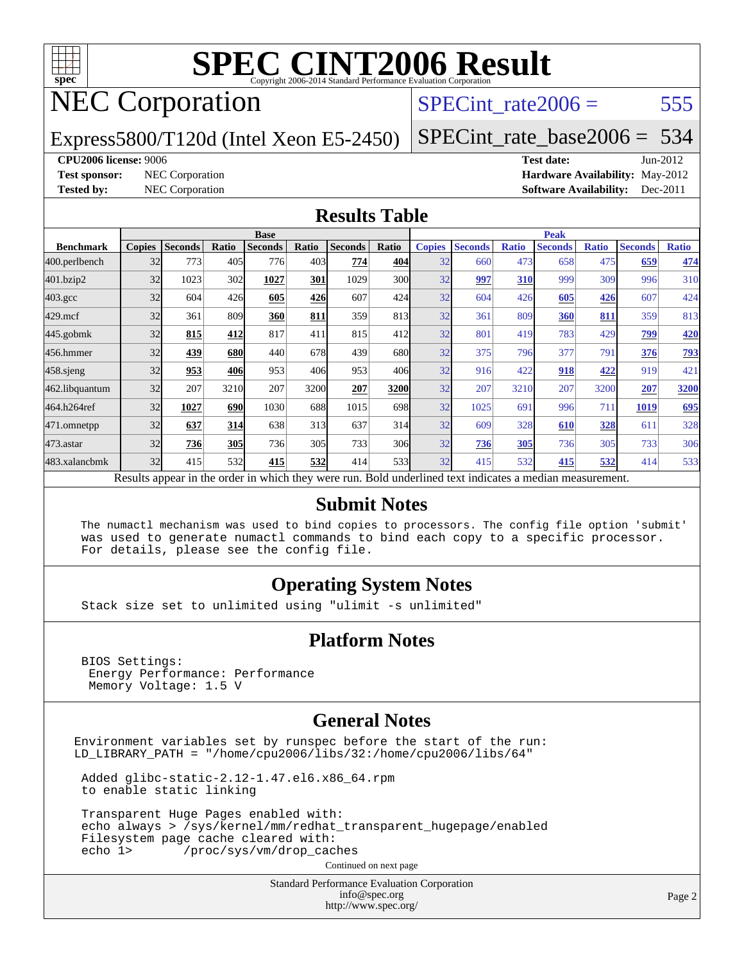

## NEC Corporation

### SPECint rate $2006 = 555$

Express5800/T120d (Intel Xeon E5-2450)

[SPECint\\_rate\\_base2006 =](http://www.spec.org/auto/cpu2006/Docs/result-fields.html#SPECintratebase2006) 534

#### **[CPU2006 license:](http://www.spec.org/auto/cpu2006/Docs/result-fields.html#CPU2006license)** 9006 **[Test date:](http://www.spec.org/auto/cpu2006/Docs/result-fields.html#Testdate)** Jun-2012

**[Test sponsor:](http://www.spec.org/auto/cpu2006/Docs/result-fields.html#Testsponsor)** NEC Corporation **[Hardware Availability:](http://www.spec.org/auto/cpu2006/Docs/result-fields.html#HardwareAvailability)** May-2012 **[Tested by:](http://www.spec.org/auto/cpu2006/Docs/result-fields.html#Testedby)** NEC Corporation **[Software Availability:](http://www.spec.org/auto/cpu2006/Docs/result-fields.html#SoftwareAvailability)** Dec-2011

#### **[Results Table](http://www.spec.org/auto/cpu2006/Docs/result-fields.html#ResultsTable)**

|                                                                                                          | <b>Base</b>   |                |            |                |            |                |       | <b>Peak</b>   |                |              |                |              |                |              |
|----------------------------------------------------------------------------------------------------------|---------------|----------------|------------|----------------|------------|----------------|-------|---------------|----------------|--------------|----------------|--------------|----------------|--------------|
| <b>Benchmark</b>                                                                                         | <b>Copies</b> | <b>Seconds</b> | Ratio      | <b>Seconds</b> | Ratio      | <b>Seconds</b> | Ratio | <b>Copies</b> | <b>Seconds</b> | <b>Ratio</b> | <b>Seconds</b> | <b>Ratio</b> | <b>Seconds</b> | <b>Ratio</b> |
| 400.perlbench                                                                                            | 32            | 773            | 405        | 776            | 403        | 774            | 404   | 32            | 660            | 473          | 658            | 475          | 659            | 474          |
| 401.bzip2                                                                                                | 32            | 1023           | 302        | 1027           | <b>301</b> | 1029           | 300l  | 32            | 997            | 310          | 999            | 309          | 996            | 310          |
| $403.\mathrm{gcc}$                                                                                       | 32            | 604            | 426        | 605            | 426        | 607            | 424   | 32            | 604            | 426          | 605            | 426          | 607            | 424          |
| $429$ .mcf                                                                                               | 32            | 361            | 809        | 360            | 811        | 359            | 813   | 32            | 361            | 809          | 360            | 811          | 359            | 813          |
| $445$ .gobmk                                                                                             | 32            | 815            | 412        | 817            | 411        | 815            | 412   | 32            | 801            | 419          | 783            | 429          | 799            | <b>420</b>   |
| 456.hmmer                                                                                                | 32            | 439            | 680        | 440            | 678        | 439            | 680l  | 32            | 375            | 796          | 377            | 791          | 376            | <b>793</b>   |
| $458$ .sjeng                                                                                             | 32            | 953            | 406        | 953            | 406        | 953            | 406   | 32            | 916            | 422          | 918            | 422          | 919            | 421          |
| 462.libquantum                                                                                           | 32            | 207            | 3210       | 207            | 3200       | 207            | 3200  | 32            | 207            | 3210         | 207            | 3200         | 207            | 3200         |
| 464.h264ref                                                                                              | 32            | 1027           | 690        | 1030           | 688        | 1015           | 698   | 32            | 1025           | 691          | 996            | 711          | 1019           | 695          |
| 471.omnetpp                                                                                              | 32            | 637            | 314        | 638            | 313        | 637            | 314   | 32            | 609            | 328          | 610            | 328          | 611            | 328          |
| $473.$ astar                                                                                             | 32            | 736            | <b>305</b> | 736            | 305        | 733            | 306   | 32            | 736            | 305          | 736            | 305          | 733            | 306          |
| 483.xalancbmk                                                                                            | 32            | 415            | 532        | 415            | 532        | 414            | 533   | 32            | 415            | 532          | 415            | 532          | 414            | 533          |
| Results appear in the order in which they were run. Bold underlined text indicates a median measurement. |               |                |            |                |            |                |       |               |                |              |                |              |                |              |

#### **[Submit Notes](http://www.spec.org/auto/cpu2006/Docs/result-fields.html#SubmitNotes)**

 The numactl mechanism was used to bind copies to processors. The config file option 'submit' was used to generate numactl commands to bind each copy to a specific processor. For details, please see the config file.

#### **[Operating System Notes](http://www.spec.org/auto/cpu2006/Docs/result-fields.html#OperatingSystemNotes)**

Stack size set to unlimited using "ulimit -s unlimited"

#### **[Platform Notes](http://www.spec.org/auto/cpu2006/Docs/result-fields.html#PlatformNotes)**

 BIOS Settings: Energy Performance: Performance Memory Voltage: 1.5 V

#### **[General Notes](http://www.spec.org/auto/cpu2006/Docs/result-fields.html#GeneralNotes)**

Environment variables set by runspec before the start of the run: LD\_LIBRARY\_PATH = "/home/cpu2006/libs/32:/home/cpu2006/libs/64"

 Added glibc-static-2.12-1.47.el6.x86\_64.rpm to enable static linking

 Transparent Huge Pages enabled with: echo always > /sys/kernel/mm/redhat\_transparent\_hugepage/enabled Filesystem page cache cleared with:<br>echo 1> /proc/sys/ym/drop cac /proc/sys/vm/drop\_caches

Continued on next page

Standard Performance Evaluation Corporation [info@spec.org](mailto:info@spec.org) <http://www.spec.org/>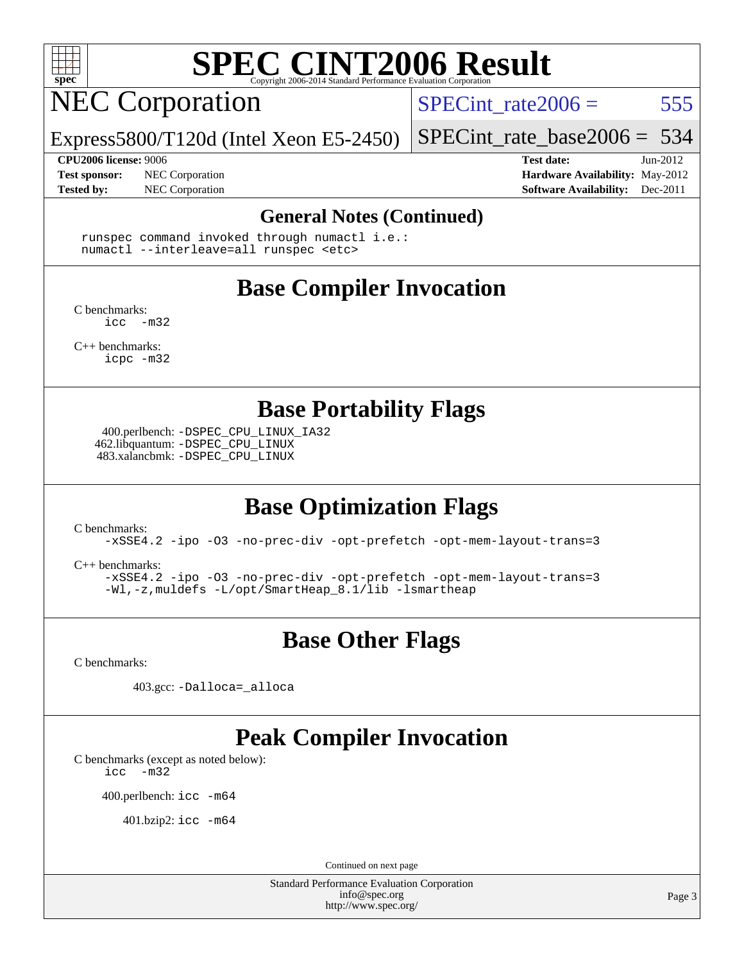

## **NEC Corporation**

SPECint rate $2006 = 555$ 

Express5800/T120d (Intel Xeon E5-2450)

[SPECint\\_rate\\_base2006 =](http://www.spec.org/auto/cpu2006/Docs/result-fields.html#SPECintratebase2006) 534

**[CPU2006 license:](http://www.spec.org/auto/cpu2006/Docs/result-fields.html#CPU2006license)** 9006 **[Test date:](http://www.spec.org/auto/cpu2006/Docs/result-fields.html#Testdate)** Jun-2012

**[Test sponsor:](http://www.spec.org/auto/cpu2006/Docs/result-fields.html#Testsponsor)** NEC Corporation **[Hardware Availability:](http://www.spec.org/auto/cpu2006/Docs/result-fields.html#HardwareAvailability)** May-2012

**[Tested by:](http://www.spec.org/auto/cpu2006/Docs/result-fields.html#Testedby)** NEC Corporation **[Software Availability:](http://www.spec.org/auto/cpu2006/Docs/result-fields.html#SoftwareAvailability)** Dec-2011

#### **[General Notes \(Continued\)](http://www.spec.org/auto/cpu2006/Docs/result-fields.html#GeneralNotes)**

 runspec command invoked through numactl i.e.: numactl --interleave=all runspec <etc>

## **[Base Compiler Invocation](http://www.spec.org/auto/cpu2006/Docs/result-fields.html#BaseCompilerInvocation)**

[C benchmarks](http://www.spec.org/auto/cpu2006/Docs/result-fields.html#Cbenchmarks):  $inc -m32$ 

[C++ benchmarks:](http://www.spec.org/auto/cpu2006/Docs/result-fields.html#CXXbenchmarks) [icpc -m32](http://www.spec.org/cpu2006/results/res2012q3/cpu2006-20120701-23306.flags.html#user_CXXbase_intel_icpc_4e5a5ef1a53fd332b3c49e69c3330699)

**[Base Portability Flags](http://www.spec.org/auto/cpu2006/Docs/result-fields.html#BasePortabilityFlags)**

 400.perlbench: [-DSPEC\\_CPU\\_LINUX\\_IA32](http://www.spec.org/cpu2006/results/res2012q3/cpu2006-20120701-23306.flags.html#b400.perlbench_baseCPORTABILITY_DSPEC_CPU_LINUX_IA32) 462.libquantum: [-DSPEC\\_CPU\\_LINUX](http://www.spec.org/cpu2006/results/res2012q3/cpu2006-20120701-23306.flags.html#b462.libquantum_baseCPORTABILITY_DSPEC_CPU_LINUX) 483.xalancbmk: [-DSPEC\\_CPU\\_LINUX](http://www.spec.org/cpu2006/results/res2012q3/cpu2006-20120701-23306.flags.html#b483.xalancbmk_baseCXXPORTABILITY_DSPEC_CPU_LINUX)

### **[Base Optimization Flags](http://www.spec.org/auto/cpu2006/Docs/result-fields.html#BaseOptimizationFlags)**

[C benchmarks](http://www.spec.org/auto/cpu2006/Docs/result-fields.html#Cbenchmarks):

[-xSSE4.2](http://www.spec.org/cpu2006/results/res2012q3/cpu2006-20120701-23306.flags.html#user_CCbase_f-xSSE42_f91528193cf0b216347adb8b939d4107) [-ipo](http://www.spec.org/cpu2006/results/res2012q3/cpu2006-20120701-23306.flags.html#user_CCbase_f-ipo) [-O3](http://www.spec.org/cpu2006/results/res2012q3/cpu2006-20120701-23306.flags.html#user_CCbase_f-O3) [-no-prec-div](http://www.spec.org/cpu2006/results/res2012q3/cpu2006-20120701-23306.flags.html#user_CCbase_f-no-prec-div) [-opt-prefetch](http://www.spec.org/cpu2006/results/res2012q3/cpu2006-20120701-23306.flags.html#user_CCbase_f-opt-prefetch) [-opt-mem-layout-trans=3](http://www.spec.org/cpu2006/results/res2012q3/cpu2006-20120701-23306.flags.html#user_CCbase_f-opt-mem-layout-trans_a7b82ad4bd7abf52556d4961a2ae94d5)

[C++ benchmarks:](http://www.spec.org/auto/cpu2006/Docs/result-fields.html#CXXbenchmarks)

[-xSSE4.2](http://www.spec.org/cpu2006/results/res2012q3/cpu2006-20120701-23306.flags.html#user_CXXbase_f-xSSE42_f91528193cf0b216347adb8b939d4107) [-ipo](http://www.spec.org/cpu2006/results/res2012q3/cpu2006-20120701-23306.flags.html#user_CXXbase_f-ipo) [-O3](http://www.spec.org/cpu2006/results/res2012q3/cpu2006-20120701-23306.flags.html#user_CXXbase_f-O3) [-no-prec-div](http://www.spec.org/cpu2006/results/res2012q3/cpu2006-20120701-23306.flags.html#user_CXXbase_f-no-prec-div) [-opt-prefetch](http://www.spec.org/cpu2006/results/res2012q3/cpu2006-20120701-23306.flags.html#user_CXXbase_f-opt-prefetch) [-opt-mem-layout-trans=3](http://www.spec.org/cpu2006/results/res2012q3/cpu2006-20120701-23306.flags.html#user_CXXbase_f-opt-mem-layout-trans_a7b82ad4bd7abf52556d4961a2ae94d5) [-Wl,-z,muldefs](http://www.spec.org/cpu2006/results/res2012q3/cpu2006-20120701-23306.flags.html#user_CXXbase_link_force_multiple1_74079c344b956b9658436fd1b6dd3a8a) [-L/opt/SmartHeap\\_8.1/lib -lsmartheap](http://www.spec.org/cpu2006/results/res2012q3/cpu2006-20120701-23306.flags.html#user_CXXbase_SmartHeap_d5ba4dfc9de25d3c657c7de7476e66c5)

### **[Base Other Flags](http://www.spec.org/auto/cpu2006/Docs/result-fields.html#BaseOtherFlags)**

[C benchmarks](http://www.spec.org/auto/cpu2006/Docs/result-fields.html#Cbenchmarks):

403.gcc: [-Dalloca=\\_alloca](http://www.spec.org/cpu2006/results/res2012q3/cpu2006-20120701-23306.flags.html#b403.gcc_baseEXTRA_CFLAGS_Dalloca_be3056838c12de2578596ca5467af7f3)

## **[Peak Compiler Invocation](http://www.spec.org/auto/cpu2006/Docs/result-fields.html#PeakCompilerInvocation)**

[C benchmarks \(except as noted below\)](http://www.spec.org/auto/cpu2006/Docs/result-fields.html#Cbenchmarksexceptasnotedbelow):

[icc -m32](http://www.spec.org/cpu2006/results/res2012q3/cpu2006-20120701-23306.flags.html#user_CCpeak_intel_icc_5ff4a39e364c98233615fdd38438c6f2)

400.perlbench: [icc -m64](http://www.spec.org/cpu2006/results/res2012q3/cpu2006-20120701-23306.flags.html#user_peakCCLD400_perlbench_intel_icc_64bit_bda6cc9af1fdbb0edc3795bac97ada53)

401.bzip2: [icc -m64](http://www.spec.org/cpu2006/results/res2012q3/cpu2006-20120701-23306.flags.html#user_peakCCLD401_bzip2_intel_icc_64bit_bda6cc9af1fdbb0edc3795bac97ada53)

Continued on next page

Standard Performance Evaluation Corporation [info@spec.org](mailto:info@spec.org) <http://www.spec.org/>

Page 3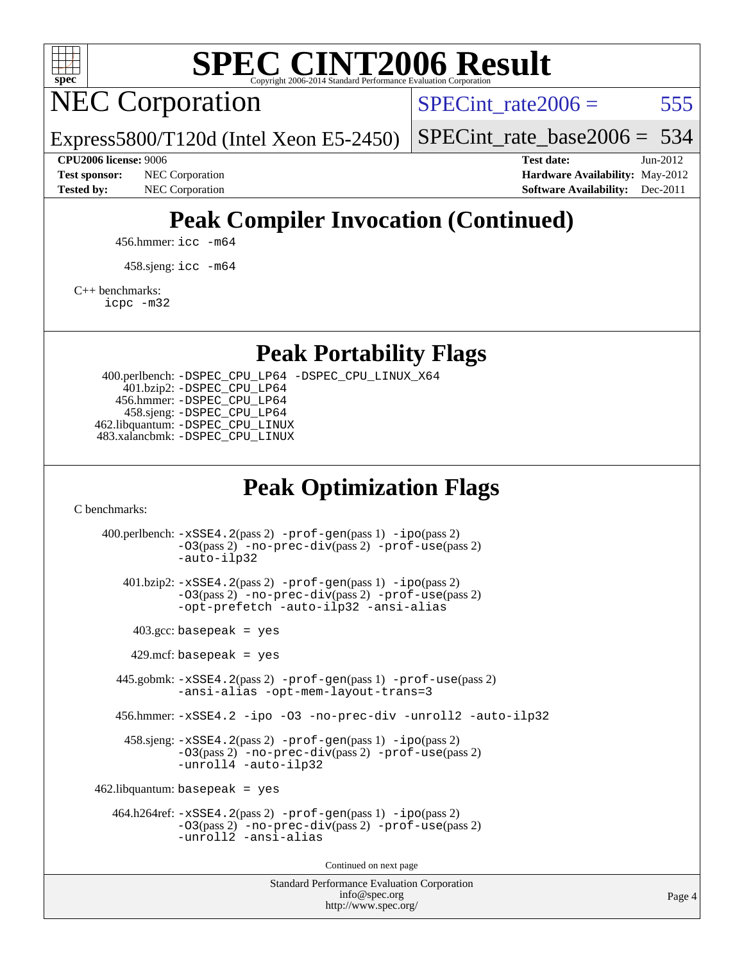

NEC Corporation

SPECint rate $2006 = 555$ 

[SPECint\\_rate\\_base2006 =](http://www.spec.org/auto/cpu2006/Docs/result-fields.html#SPECintratebase2006) 534

#### **[CPU2006 license:](http://www.spec.org/auto/cpu2006/Docs/result-fields.html#CPU2006license)** 9006 **[Test date:](http://www.spec.org/auto/cpu2006/Docs/result-fields.html#Testdate)** Jun-2012

**[Test sponsor:](http://www.spec.org/auto/cpu2006/Docs/result-fields.html#Testsponsor)** NEC Corporation **NEC Corporation [Hardware Availability:](http://www.spec.org/auto/cpu2006/Docs/result-fields.html#HardwareAvailability)** May-2012 **[Tested by:](http://www.spec.org/auto/cpu2006/Docs/result-fields.html#Testedby)** NEC Corporation **[Software Availability:](http://www.spec.org/auto/cpu2006/Docs/result-fields.html#SoftwareAvailability)** Dec-2011

## **[Peak Compiler Invocation \(Continued\)](http://www.spec.org/auto/cpu2006/Docs/result-fields.html#PeakCompilerInvocation)**

456.hmmer: [icc -m64](http://www.spec.org/cpu2006/results/res2012q3/cpu2006-20120701-23306.flags.html#user_peakCCLD456_hmmer_intel_icc_64bit_bda6cc9af1fdbb0edc3795bac97ada53)

Express5800/T120d (Intel Xeon E5-2450)

458.sjeng: [icc -m64](http://www.spec.org/cpu2006/results/res2012q3/cpu2006-20120701-23306.flags.html#user_peakCCLD458_sjeng_intel_icc_64bit_bda6cc9af1fdbb0edc3795bac97ada53)

#### [C++ benchmarks:](http://www.spec.org/auto/cpu2006/Docs/result-fields.html#CXXbenchmarks)

[icpc -m32](http://www.spec.org/cpu2006/results/res2012q3/cpu2006-20120701-23306.flags.html#user_CXXpeak_intel_icpc_4e5a5ef1a53fd332b3c49e69c3330699)

#### **[Peak Portability Flags](http://www.spec.org/auto/cpu2006/Docs/result-fields.html#PeakPortabilityFlags)**

 400.perlbench: [-DSPEC\\_CPU\\_LP64](http://www.spec.org/cpu2006/results/res2012q3/cpu2006-20120701-23306.flags.html#b400.perlbench_peakCPORTABILITY_DSPEC_CPU_LP64) [-DSPEC\\_CPU\\_LINUX\\_X64](http://www.spec.org/cpu2006/results/res2012q3/cpu2006-20120701-23306.flags.html#b400.perlbench_peakCPORTABILITY_DSPEC_CPU_LINUX_X64) 401.bzip2: [-DSPEC\\_CPU\\_LP64](http://www.spec.org/cpu2006/results/res2012q3/cpu2006-20120701-23306.flags.html#suite_peakCPORTABILITY401_bzip2_DSPEC_CPU_LP64) 456.hmmer: [-DSPEC\\_CPU\\_LP64](http://www.spec.org/cpu2006/results/res2012q3/cpu2006-20120701-23306.flags.html#suite_peakCPORTABILITY456_hmmer_DSPEC_CPU_LP64) 458.sjeng: [-DSPEC\\_CPU\\_LP64](http://www.spec.org/cpu2006/results/res2012q3/cpu2006-20120701-23306.flags.html#suite_peakCPORTABILITY458_sjeng_DSPEC_CPU_LP64) 462.libquantum: [-DSPEC\\_CPU\\_LINUX](http://www.spec.org/cpu2006/results/res2012q3/cpu2006-20120701-23306.flags.html#b462.libquantum_peakCPORTABILITY_DSPEC_CPU_LINUX) 483.xalancbmk: [-DSPEC\\_CPU\\_LINUX](http://www.spec.org/cpu2006/results/res2012q3/cpu2006-20120701-23306.flags.html#b483.xalancbmk_peakCXXPORTABILITY_DSPEC_CPU_LINUX)

### **[Peak Optimization Flags](http://www.spec.org/auto/cpu2006/Docs/result-fields.html#PeakOptimizationFlags)**

[C benchmarks](http://www.spec.org/auto/cpu2006/Docs/result-fields.html#Cbenchmarks):

Standard Performance Evaluation Corporation 400.perlbench: [-xSSE4.2](http://www.spec.org/cpu2006/results/res2012q3/cpu2006-20120701-23306.flags.html#user_peakPASS2_CFLAGSPASS2_LDCFLAGS400_perlbench_f-xSSE42_f91528193cf0b216347adb8b939d4107)(pass 2) [-prof-gen](http://www.spec.org/cpu2006/results/res2012q3/cpu2006-20120701-23306.flags.html#user_peakPASS1_CFLAGSPASS1_LDCFLAGS400_perlbench_prof_gen_e43856698f6ca7b7e442dfd80e94a8fc)(pass 1) [-ipo](http://www.spec.org/cpu2006/results/res2012q3/cpu2006-20120701-23306.flags.html#user_peakPASS2_CFLAGSPASS2_LDCFLAGS400_perlbench_f-ipo)(pass 2) [-O3](http://www.spec.org/cpu2006/results/res2012q3/cpu2006-20120701-23306.flags.html#user_peakPASS2_CFLAGSPASS2_LDCFLAGS400_perlbench_f-O3)(pass 2) [-no-prec-div](http://www.spec.org/cpu2006/results/res2012q3/cpu2006-20120701-23306.flags.html#user_peakPASS2_CFLAGSPASS2_LDCFLAGS400_perlbench_f-no-prec-div)(pass 2) [-prof-use](http://www.spec.org/cpu2006/results/res2012q3/cpu2006-20120701-23306.flags.html#user_peakPASS2_CFLAGSPASS2_LDCFLAGS400_perlbench_prof_use_bccf7792157ff70d64e32fe3e1250b55)(pass 2) [-auto-ilp32](http://www.spec.org/cpu2006/results/res2012q3/cpu2006-20120701-23306.flags.html#user_peakCOPTIMIZE400_perlbench_f-auto-ilp32) 401.bzip2: [-xSSE4.2](http://www.spec.org/cpu2006/results/res2012q3/cpu2006-20120701-23306.flags.html#user_peakPASS2_CFLAGSPASS2_LDCFLAGS401_bzip2_f-xSSE42_f91528193cf0b216347adb8b939d4107)(pass 2) [-prof-gen](http://www.spec.org/cpu2006/results/res2012q3/cpu2006-20120701-23306.flags.html#user_peakPASS1_CFLAGSPASS1_LDCFLAGS401_bzip2_prof_gen_e43856698f6ca7b7e442dfd80e94a8fc)(pass 1) [-ipo](http://www.spec.org/cpu2006/results/res2012q3/cpu2006-20120701-23306.flags.html#user_peakPASS2_CFLAGSPASS2_LDCFLAGS401_bzip2_f-ipo)(pass 2) [-O3](http://www.spec.org/cpu2006/results/res2012q3/cpu2006-20120701-23306.flags.html#user_peakPASS2_CFLAGSPASS2_LDCFLAGS401_bzip2_f-O3)(pass 2) [-no-prec-div](http://www.spec.org/cpu2006/results/res2012q3/cpu2006-20120701-23306.flags.html#user_peakPASS2_CFLAGSPASS2_LDCFLAGS401_bzip2_f-no-prec-div)(pass 2) [-prof-use](http://www.spec.org/cpu2006/results/res2012q3/cpu2006-20120701-23306.flags.html#user_peakPASS2_CFLAGSPASS2_LDCFLAGS401_bzip2_prof_use_bccf7792157ff70d64e32fe3e1250b55)(pass 2) [-opt-prefetch](http://www.spec.org/cpu2006/results/res2012q3/cpu2006-20120701-23306.flags.html#user_peakCOPTIMIZE401_bzip2_f-opt-prefetch) [-auto-ilp32](http://www.spec.org/cpu2006/results/res2012q3/cpu2006-20120701-23306.flags.html#user_peakCOPTIMIZE401_bzip2_f-auto-ilp32) [-ansi-alias](http://www.spec.org/cpu2006/results/res2012q3/cpu2006-20120701-23306.flags.html#user_peakCOPTIMIZE401_bzip2_f-ansi-alias)  $403.\text{gcc: basepeak}$  = yes  $429$ .mcf: basepeak = yes 445.gobmk: [-xSSE4.2](http://www.spec.org/cpu2006/results/res2012q3/cpu2006-20120701-23306.flags.html#user_peakPASS2_CFLAGSPASS2_LDCFLAGS445_gobmk_f-xSSE42_f91528193cf0b216347adb8b939d4107)(pass 2) [-prof-gen](http://www.spec.org/cpu2006/results/res2012q3/cpu2006-20120701-23306.flags.html#user_peakPASS1_CFLAGSPASS1_LDCFLAGS445_gobmk_prof_gen_e43856698f6ca7b7e442dfd80e94a8fc)(pass 1) [-prof-use](http://www.spec.org/cpu2006/results/res2012q3/cpu2006-20120701-23306.flags.html#user_peakPASS2_CFLAGSPASS2_LDCFLAGS445_gobmk_prof_use_bccf7792157ff70d64e32fe3e1250b55)(pass 2) [-ansi-alias](http://www.spec.org/cpu2006/results/res2012q3/cpu2006-20120701-23306.flags.html#user_peakCOPTIMIZE445_gobmk_f-ansi-alias) [-opt-mem-layout-trans=3](http://www.spec.org/cpu2006/results/res2012q3/cpu2006-20120701-23306.flags.html#user_peakCOPTIMIZE445_gobmk_f-opt-mem-layout-trans_a7b82ad4bd7abf52556d4961a2ae94d5) 456.hmmer: [-xSSE4.2](http://www.spec.org/cpu2006/results/res2012q3/cpu2006-20120701-23306.flags.html#user_peakCOPTIMIZE456_hmmer_f-xSSE42_f91528193cf0b216347adb8b939d4107) [-ipo](http://www.spec.org/cpu2006/results/res2012q3/cpu2006-20120701-23306.flags.html#user_peakCOPTIMIZE456_hmmer_f-ipo) [-O3](http://www.spec.org/cpu2006/results/res2012q3/cpu2006-20120701-23306.flags.html#user_peakCOPTIMIZE456_hmmer_f-O3) [-no-prec-div](http://www.spec.org/cpu2006/results/res2012q3/cpu2006-20120701-23306.flags.html#user_peakCOPTIMIZE456_hmmer_f-no-prec-div) [-unroll2](http://www.spec.org/cpu2006/results/res2012q3/cpu2006-20120701-23306.flags.html#user_peakCOPTIMIZE456_hmmer_f-unroll_784dae83bebfb236979b41d2422d7ec2) [-auto-ilp32](http://www.spec.org/cpu2006/results/res2012q3/cpu2006-20120701-23306.flags.html#user_peakCOPTIMIZE456_hmmer_f-auto-ilp32) 458.sjeng: [-xSSE4.2](http://www.spec.org/cpu2006/results/res2012q3/cpu2006-20120701-23306.flags.html#user_peakPASS2_CFLAGSPASS2_LDCFLAGS458_sjeng_f-xSSE42_f91528193cf0b216347adb8b939d4107)(pass 2) [-prof-gen](http://www.spec.org/cpu2006/results/res2012q3/cpu2006-20120701-23306.flags.html#user_peakPASS1_CFLAGSPASS1_LDCFLAGS458_sjeng_prof_gen_e43856698f6ca7b7e442dfd80e94a8fc)(pass 1) [-ipo](http://www.spec.org/cpu2006/results/res2012q3/cpu2006-20120701-23306.flags.html#user_peakPASS2_CFLAGSPASS2_LDCFLAGS458_sjeng_f-ipo)(pass 2) [-O3](http://www.spec.org/cpu2006/results/res2012q3/cpu2006-20120701-23306.flags.html#user_peakPASS2_CFLAGSPASS2_LDCFLAGS458_sjeng_f-O3)(pass 2) [-no-prec-div](http://www.spec.org/cpu2006/results/res2012q3/cpu2006-20120701-23306.flags.html#user_peakPASS2_CFLAGSPASS2_LDCFLAGS458_sjeng_f-no-prec-div)(pass 2) [-prof-use](http://www.spec.org/cpu2006/results/res2012q3/cpu2006-20120701-23306.flags.html#user_peakPASS2_CFLAGSPASS2_LDCFLAGS458_sjeng_prof_use_bccf7792157ff70d64e32fe3e1250b55)(pass 2) [-unroll4](http://www.spec.org/cpu2006/results/res2012q3/cpu2006-20120701-23306.flags.html#user_peakCOPTIMIZE458_sjeng_f-unroll_4e5e4ed65b7fd20bdcd365bec371b81f) [-auto-ilp32](http://www.spec.org/cpu2006/results/res2012q3/cpu2006-20120701-23306.flags.html#user_peakCOPTIMIZE458_sjeng_f-auto-ilp32)  $462$ .libquantum: basepeak = yes 464.h264ref: [-xSSE4.2](http://www.spec.org/cpu2006/results/res2012q3/cpu2006-20120701-23306.flags.html#user_peakPASS2_CFLAGSPASS2_LDCFLAGS464_h264ref_f-xSSE42_f91528193cf0b216347adb8b939d4107)(pass 2) [-prof-gen](http://www.spec.org/cpu2006/results/res2012q3/cpu2006-20120701-23306.flags.html#user_peakPASS1_CFLAGSPASS1_LDCFLAGS464_h264ref_prof_gen_e43856698f6ca7b7e442dfd80e94a8fc)(pass 1) [-ipo](http://www.spec.org/cpu2006/results/res2012q3/cpu2006-20120701-23306.flags.html#user_peakPASS2_CFLAGSPASS2_LDCFLAGS464_h264ref_f-ipo)(pass 2) [-O3](http://www.spec.org/cpu2006/results/res2012q3/cpu2006-20120701-23306.flags.html#user_peakPASS2_CFLAGSPASS2_LDCFLAGS464_h264ref_f-O3)(pass 2) [-no-prec-div](http://www.spec.org/cpu2006/results/res2012q3/cpu2006-20120701-23306.flags.html#user_peakPASS2_CFLAGSPASS2_LDCFLAGS464_h264ref_f-no-prec-div)(pass 2) [-prof-use](http://www.spec.org/cpu2006/results/res2012q3/cpu2006-20120701-23306.flags.html#user_peakPASS2_CFLAGSPASS2_LDCFLAGS464_h264ref_prof_use_bccf7792157ff70d64e32fe3e1250b55)(pass 2) [-unroll2](http://www.spec.org/cpu2006/results/res2012q3/cpu2006-20120701-23306.flags.html#user_peakCOPTIMIZE464_h264ref_f-unroll_784dae83bebfb236979b41d2422d7ec2) [-ansi-alias](http://www.spec.org/cpu2006/results/res2012q3/cpu2006-20120701-23306.flags.html#user_peakCOPTIMIZE464_h264ref_f-ansi-alias) Continued on next page

[info@spec.org](mailto:info@spec.org) <http://www.spec.org/>